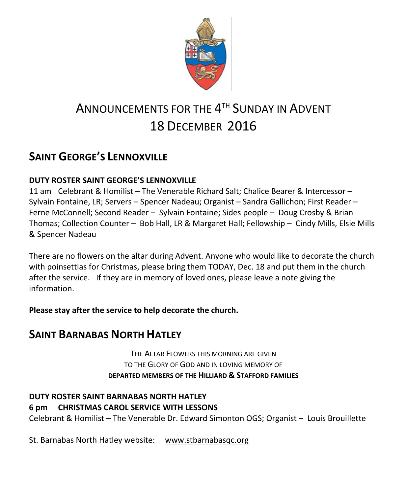

# ANNOUNCEMENTS FOR THE  $4^{\text{\tiny{TH}}}$  Sunday in Advent 18 DECEMBER 2016

## **SAINT GEORGE'S LENNOXVILLE**

### **DUTY ROSTER SAINT GEORGE'S LENNOXVILLE**

11 am Celebrant & Homilist – The Venerable Richard Salt; Chalice Bearer & Intercessor – Sylvain Fontaine, LR; Servers – Spencer Nadeau; Organist – Sandra Gallichon; First Reader – Ferne McConnell; Second Reader – Sylvain Fontaine; Sides people – Doug Crosby & Brian Thomas; Collection Counter – Bob Hall, LR & Margaret Hall; Fellowship – Cindy Mills, Elsie Mills & Spencer Nadeau

There are no flowers on the altar during Advent. Anyone who would like to decorate the church with poinsettias for Christmas, please bring them TODAY, Dec. 18 and put them in the church after the service. If they are in memory of loved ones, please leave a note giving the information.

**Please stay after the service to help decorate the church.** 

## **SAINT BARNABAS NORTH HATLEY**

THE ALTAR FLOWERS THIS MORNING ARE GIVEN TO THE GLORY OF GOD AND IN LOVING MEMORY OF **DEPARTED MEMBERS OF THE HILLIARD & STAFFORD FAMILIES**

### **DUTY ROSTER SAINT BARNABAS NORTH HATLEY 6 pm CHRISTMAS CAROL SERVICE WITH LESSONS**

Celebrant & Homilist – The Venerable Dr. Edward Simonton OGS; Organist – Louis Brouillette

St. Barnabas North Hatley website: [www.stbarnabasqc.org](https://webmail.ubishops.ca/owa/redir.aspx?REF=0vV84iQWktbgou41-Q7x-hpuWc0un25Lg32_cT3pE_mXa77B8czTCAFodHRwOi8vd3d3LnN0YmFybmFiYXNxYy5vcmc.)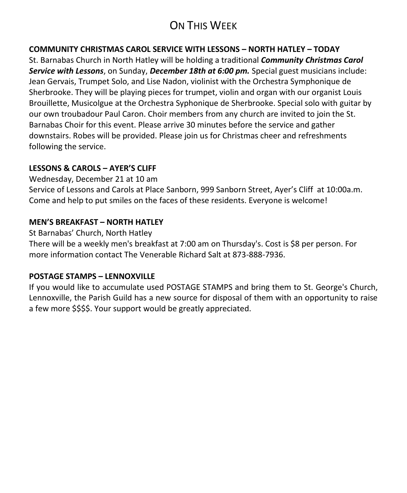## ON THIS WEEK

#### **COMMUNITY CHRISTMAS CAROL SERVICE WITH LESSONS – NORTH HATLEY – TODAY**

St. Barnabas Church in North Hatley will be holding a traditional *Community Christmas Carol Service with Lessons*, on Sunday, *December 18th at 6:00 pm.* Special guest musicians include: Jean Gervais, Trumpet Solo, and Lise Nadon, violinist with the Orchestra Symphonique de Sherbrooke. They will be playing pieces for trumpet, violin and organ with our organist Louis Brouillette, Musicolgue at the Orchestra Syphonique de Sherbrooke. Special solo with guitar by our own troubadour Paul Caron. Choir members from any church are invited to join the St. Barnabas Choir for this event. Please arrive 30 minutes before the service and gather downstairs. Robes will be provided. Please join us for Christmas cheer and refreshments following the service.

#### **LESSONS & CAROLS – AYER'S CLIFF**

Wednesday, December 21 at 10 am

Service of Lessons and Carols at Place Sanborn, 999 Sanborn Street, Ayer's Cliff at 10:00a.m. Come and help to put smiles on the faces of these residents. Everyone is welcome!

#### **MEN'S BREAKFAST – NORTH HATLEY**

St Barnabas' Church, North Hatley

There will be a weekly men's breakfast at 7:00 am on Thursday's. Cost is \$8 per person. For more information contact The Venerable Richard Salt at 873-888-7936.

#### **POSTAGE STAMPS – LENNOXVILLE**

If you would like to accumulate used POSTAGE STAMPS and bring them to St. George's Church, Lennoxville, the Parish Guild has a new source for disposal of them with an opportunity to raise a few more \$\$\$\$. Your support would be greatly appreciated.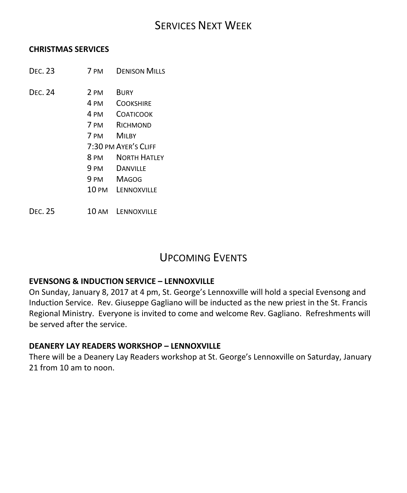### SERVICES NEXT WEEK

#### **CHRISTMAS SERVICES**

- DEC. 23 7 PM DENISON MILLS
- DEC. 24 2 PM BURY
	- 4 PM COOKSHIRE
	- 4 PM COATICOOK
	- 7 PM RICHMOND
	- 7 PM MILBY
	- 7:30 PM AYER'S CLIFF
	- 8 PM NORTH HATLEY
	- 9 PM DANVILLE
	- 9 PM MAGOG
	- 10 PM LENNOXVILLE

DEC. 25 10 AM LENNOXVILLE

### UPCOMING EVENTS

#### **EVENSONG & INDUCTION SERVICE – LENNOXVILLE**

On Sunday, January 8, 2017 at 4 pm, St. George's Lennoxville will hold a special Evensong and Induction Service. Rev. Giuseppe Gagliano will be inducted as the new priest in the St. Francis Regional Ministry. Everyone is invited to come and welcome Rev. Gagliano. Refreshments will be served after the service.

#### **DEANERY LAY READERS WORKSHOP – LENNOXVILLE**

There will be a Deanery Lay Readers workshop at St. George's Lennoxville on Saturday, January 21 from 10 am to noon.